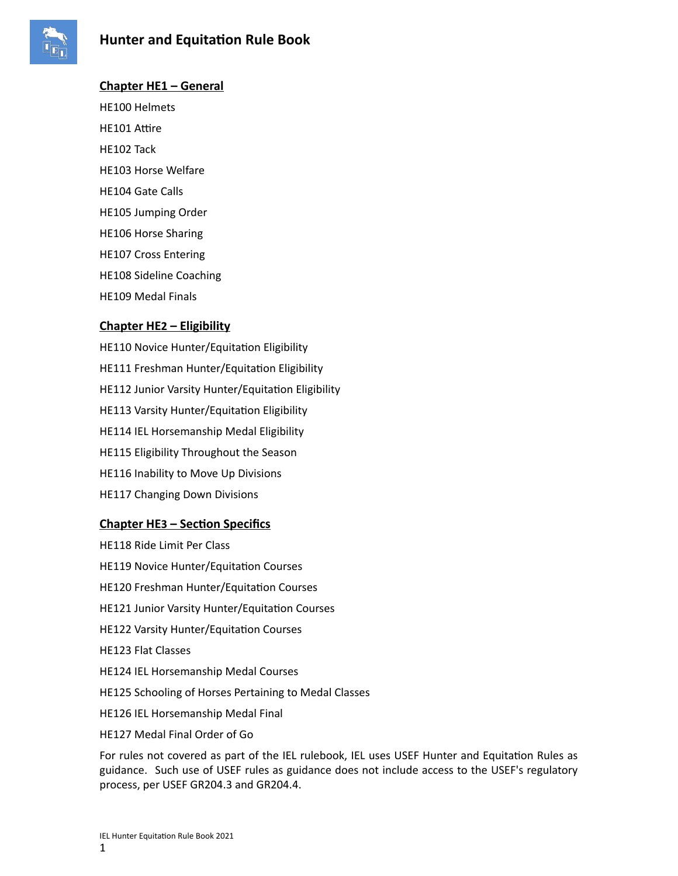

# **Chapter HE1 – General**

HE100 Helmets HE101 Attire HE102 Tack HE103 Horse Welfare HE104 Gate Calls HE105 Jumping Order HE106 Horse Sharing HE107 Cross Entering HE108 Sideline Coaching HE109 Medal Finals

## **Chapter HE2 – Eligibility**

HE110 Novice Hunter/Equitation Eligibility HE111 Freshman Hunter/Equitation Eligibility HE112 Junior Varsity Hunter/Equitation Eligibility HE113 Varsity Hunter/Equitation Eligibility HE114 IEL Horsemanship Medal Eligibility HE115 Eligibility Throughout the Season HE116 Inability to Move Up Divisions HE117 Changing Down Divisions

## **Chapter HE3 – Section Specifics**

HE118 Ride Limit Per Class HE119 Novice Hunter/Equitation Courses HE120 Freshman Hunter/Equitation Courses HE121 Junior Varsity Hunter/Equitation Courses HE122 Varsity Hunter/Equitation Courses HE123 Flat Classes HE124 IEL Horsemanship Medal Courses HE125 Schooling of Horses Pertaining to Medal Classes HE126 IEL Horsemanship Medal Final HE127 Medal Final Order of Go

For rules not covered as part of the IEL rulebook, IEL uses USEF Hunter and Equitation Rules as guidance. Such use of USEF rules as guidance does not include access to the USEF's regulatory process, per USEF GR204.3 and GR204.4.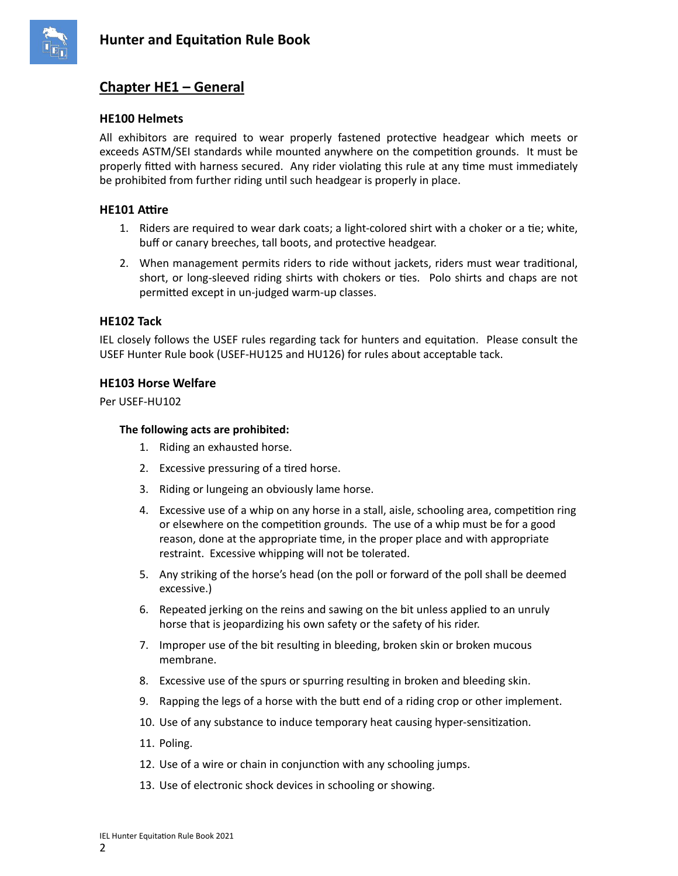

# **Chapter HE1 – General**

## **HE100 Helmets**

All exhibitors are required to wear properly fastened protective headgear which meets or exceeds ASTM/SEI standards while mounted anywhere on the competition grounds. It must be properly fitted with harness secured. Any rider violating this rule at any time must immediately be prohibited from further riding until such headgear is properly in place.

## **HE101 Attire**

- 1. Riders are required to wear dark coats; a light-colored shirt with a choker or a tie; white, buff or canary breeches, tall boots, and protective headgear.
- 2. When management permits riders to ride without jackets, riders must wear traditional, short, or long-sleeved riding shirts with chokers or ties. Polo shirts and chaps are not permitted except in un-judged warm-up classes.

## **HE102 Tack**

IEL closely follows the USEF rules regarding tack for hunters and equitation. Please consult the USEF Hunter Rule book (USEF-HU125 and HU126) for rules about acceptable tack.

## **HE103 Horse Welfare**

Per USEF-HU102

## **The following acts are prohibited:**

- 1. Riding an exhausted horse.
- 2. Excessive pressuring of a tired horse.
- 3. Riding or lungeing an obviously lame horse.
- 4. Excessive use of a whip on any horse in a stall, aisle, schooling area, competition ring or elsewhere on the competition grounds. The use of a whip must be for a good reason, done at the appropriate time, in the proper place and with appropriate restraint. Excessive whipping will not be tolerated.
- 5. Any striking of the horse's head (on the poll or forward of the poll shall be deemed excessive.)
- 6. Repeated jerking on the reins and sawing on the bit unless applied to an unruly horse that is jeopardizing his own safety or the safety of his rider.
- 7. Improper use of the bit resulting in bleeding, broken skin or broken mucous membrane.
- 8. Excessive use of the spurs or spurring resulting in broken and bleeding skin.
- 9. Rapping the legs of a horse with the butt end of a riding crop or other implement.
- 10. Use of any substance to induce temporary heat causing hyper-sensitization.
- 11. Poling.
- 12. Use of a wire or chain in conjunction with any schooling jumps.
- 13. Use of electronic shock devices in schooling or showing.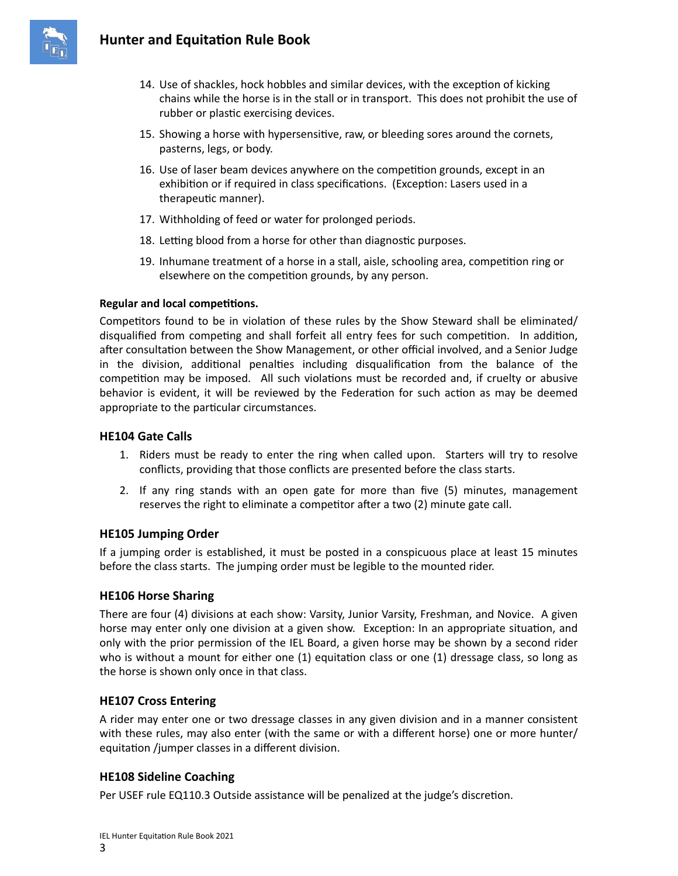

- 14. Use of shackles, hock hobbles and similar devices, with the exception of kicking chains while the horse is in the stall or in transport. This does not prohibit the use of rubber or plastic exercising devices.
- 15. Showing a horse with hypersensitive, raw, or bleeding sores around the cornets, pasterns, legs, or body.
- 16. Use of laser beam devices anywhere on the competition grounds, except in an exhibition or if required in class specifications. (Exception: Lasers used in a therapeutic manner).
- 17. Withholding of feed or water for prolonged periods.
- 18. Letting blood from a horse for other than diagnostic purposes.
- 19. Inhumane treatment of a horse in a stall, aisle, schooling area, competition ring or elsewhere on the competition grounds, by any person.

## **Regular and local competitions.**

Competitors found to be in violation of these rules by the Show Steward shall be eliminated/ disqualified from competing and shall forfeit all entry fees for such competition. In addition, after consultation between the Show Management, or other official involved, and a Senior Judge in the division, additional penalties including disqualification from the balance of the competition may be imposed. All such violations must be recorded and, if cruelty or abusive behavior is evident, it will be reviewed by the Federation for such action as may be deemed appropriate to the particular circumstances.

## **HE104 Gate Calls**

- 1. Riders must be ready to enter the ring when called upon. Starters will try to resolve conflicts, providing that those conflicts are presented before the class starts.
- 2. If any ring stands with an open gate for more than five (5) minutes, management reserves the right to eliminate a competitor after a two (2) minute gate call.

# **HE105 Jumping Order**

If a jumping order is established, it must be posted in a conspicuous place at least 15 minutes before the class starts. The jumping order must be legible to the mounted rider.

## **HE106 Horse Sharing**

There are four (4) divisions at each show: Varsity, Junior Varsity, Freshman, and Novice. A given horse may enter only one division at a given show. Exception: In an appropriate situation, and only with the prior permission of the IEL Board, a given horse may be shown by a second rider who is without a mount for either one (1) equitation class or one (1) dressage class, so long as the horse is shown only once in that class.

## **HE107 Cross Entering**

A rider may enter one or two dressage classes in any given division and in a manner consistent with these rules, may also enter (with the same or with a different horse) one or more hunter/ equitation /jumper classes in a different division.

# **HE108 Sideline Coaching**

Per USEF rule EQ110.3 Outside assistance will be penalized at the judge's discretion.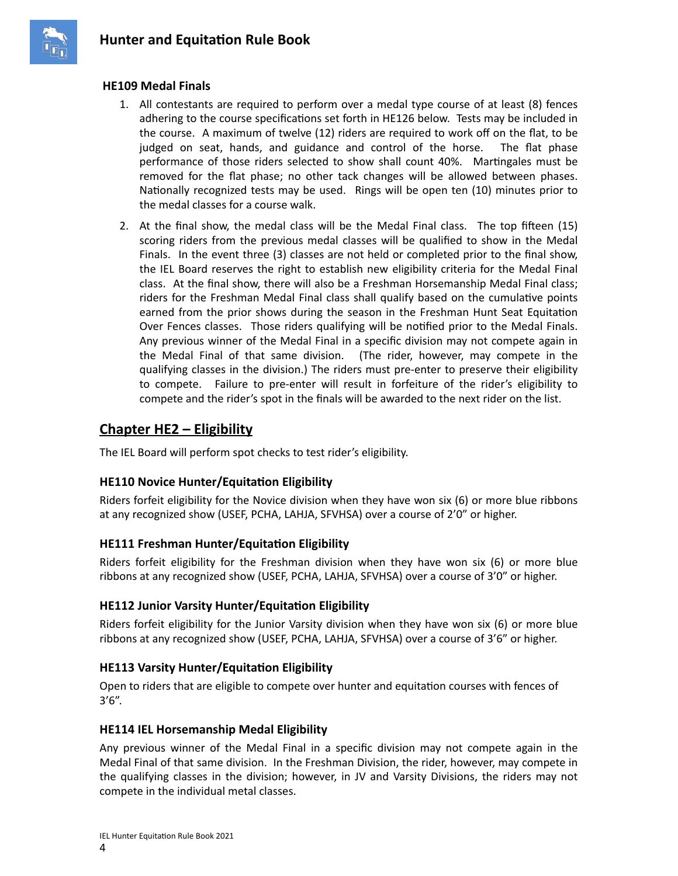

## **HE109 Medal Finals**

- 1. All contestants are required to perform over a medal type course of at least (8) fences adhering to the course specifications set forth in HE126 below. Tests may be included in the course. A maximum of twelve (12) riders are required to work off on the flat, to be judged on seat, hands, and guidance and control of the horse. The flat phase performance of those riders selected to show shall count 40%. Martingales must be removed for the flat phase; no other tack changes will be allowed between phases. Nationally recognized tests may be used. Rings will be open ten (10) minutes prior to the medal classes for a course walk.
- 2. At the final show, the medal class will be the Medal Final class. The top fifteen (15) scoring riders from the previous medal classes will be qualified to show in the Medal Finals. In the event three (3) classes are not held or completed prior to the final show, the IEL Board reserves the right to establish new eligibility criteria for the Medal Final class. At the final show, there will also be a Freshman Horsemanship Medal Final class; riders for the Freshman Medal Final class shall qualify based on the cumulative points earned from the prior shows during the season in the Freshman Hunt Seat Equitation Over Fences classes. Those riders qualifying will be notified prior to the Medal Finals. Any previous winner of the Medal Final in a specific division may not compete again in the Medal Final of that same division. (The rider, however, may compete in the qualifying classes in the division.) The riders must pre-enter to preserve their eligibility to compete. Failure to pre-enter will result in forfeiture of the rider's eligibility to compete and the rider's spot in the finals will be awarded to the next rider on the list.

# **Chapter HE2 – Eligibility**

The IEL Board will perform spot checks to test rider's eligibility.

# **HE110 Novice Hunter/Equitation Eligibility**

Riders forfeit eligibility for the Novice division when they have won six (6) or more blue ribbons at any recognized show (USEF, PCHA, LAHJA, SFVHSA) over a course of 2'0" or higher.

# **HE111 Freshman Hunter/Equitation Eligibility**

Riders forfeit eligibility for the Freshman division when they have won six (6) or more blue ribbons at any recognized show (USEF, PCHA, LAHJA, SFVHSA) over a course of 3'0" or higher.

# **HE112 Junior Varsity Hunter/Equitation Eligibility**

Riders forfeit eligibility for the Junior Varsity division when they have won six (6) or more blue ribbons at any recognized show (USEF, PCHA, LAHJA, SFVHSA) over a course of 3'6" or higher.

## **HE113 Varsity Hunter/Equitation Eligibility**

Open to riders that are eligible to compete over hunter and equitation courses with fences of 3'6".

## **HE114 IEL Horsemanship Medal Eligibility**

Any previous winner of the Medal Final in a specific division may not compete again in the Medal Final of that same division. In the Freshman Division, the rider, however, may compete in the qualifying classes in the division; however, in JV and Varsity Divisions, the riders may not compete in the individual metal classes.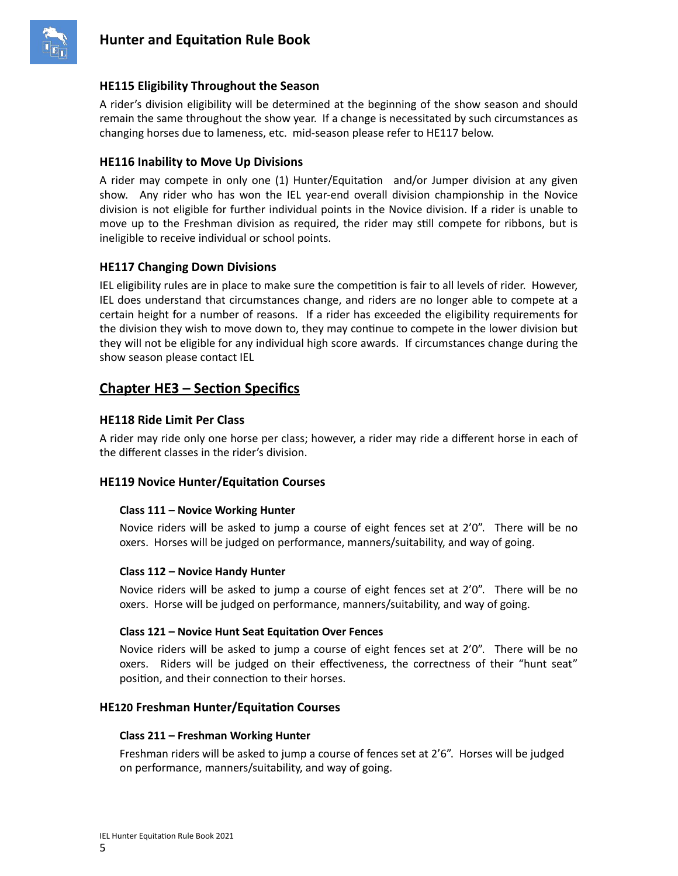

## **HE115 Eligibility Throughout the Season**

A rider's division eligibility will be determined at the beginning of the show season and should remain the same throughout the show year. If a change is necessitated by such circumstances as changing horses due to lameness, etc. mid-season please refer to HE117 below.

## **HE116 Inability to Move Up Divisions**

A rider may compete in only one (1) Hunter/Equitation and/or Jumper division at any given show. Any rider who has won the IEL year-end overall division championship in the Novice division is not eligible for further individual points in the Novice division. If a rider is unable to move up to the Freshman division as required, the rider may still compete for ribbons, but is ineligible to receive individual or school points.

## **HE117 Changing Down Divisions**

IEL eligibility rules are in place to make sure the competition is fair to all levels of rider. However, IEL does understand that circumstances change, and riders are no longer able to compete at a certain height for a number of reasons. If a rider has exceeded the eligibility requirements for the division they wish to move down to, they may continue to compete in the lower division but they will not be eligible for any individual high score awards. If circumstances change during the show season please contact IEL

# **Chapter HE3 – Section Specifics**

## **HE118 Ride Limit Per Class**

A rider may ride only one horse per class; however, a rider may ride a different horse in each of the different classes in the rider's division.

### **HE119 Novice Hunter/Equitation Courses**

### **Class 111 – Novice Working Hunter**

Novice riders will be asked to jump a course of eight fences set at 2'0". There will be no oxers. Horses will be judged on performance, manners/suitability, and way of going.

### **Class 112 – Novice Handy Hunter**

Novice riders will be asked to jump a course of eight fences set at 2'0". There will be no oxers. Horse will be judged on performance, manners/suitability, and way of going.

### **Class 121 – Novice Hunt Seat Equitation Over Fences**

Novice riders will be asked to jump a course of eight fences set at 2'0". There will be no oxers. Riders will be judged on their effectiveness, the correctness of their "hunt seat" position, and their connection to their horses.

### **HE120 Freshman Hunter/Equitation Courses**

### **Class 211 – Freshman Working Hunter**

Freshman riders will be asked to jump a course of fences set at 2'6". Horses will be judged on performance, manners/suitability, and way of going.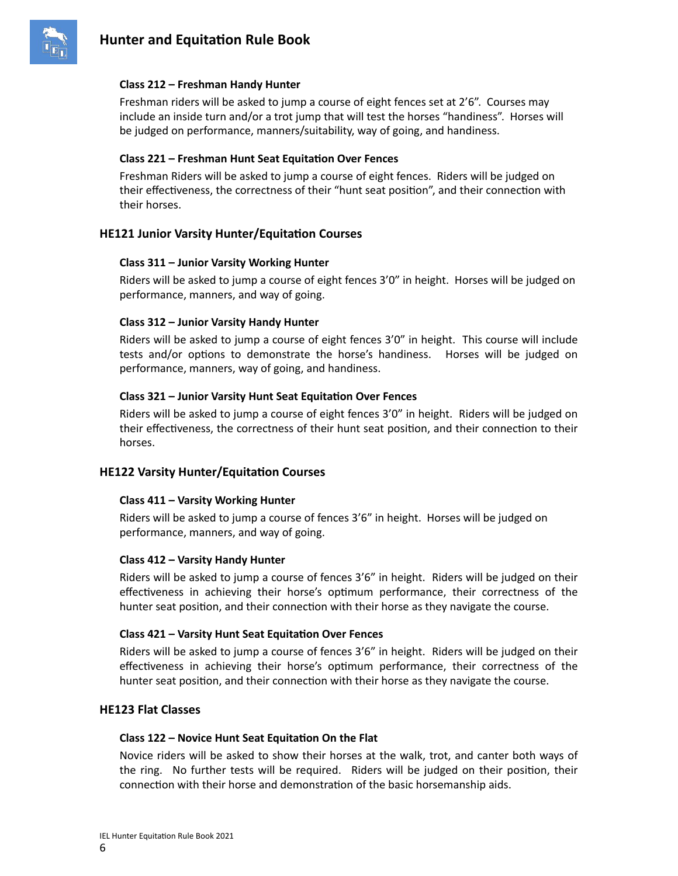

### **Class 212 – Freshman Handy Hunter**

Freshman riders will be asked to jump a course of eight fences set at 2'6". Courses may include an inside turn and/or a trot jump that will test the horses "handiness". Horses will be judged on performance, manners/suitability, way of going, and handiness.

#### **Class 221 – Freshman Hunt Seat Equitation Over Fences**

Freshman Riders will be asked to jump a course of eight fences. Riders will be judged on their effectiveness, the correctness of their "hunt seat position", and their connection with their horses.

### **HE121 Junior Varsity Hunter/Equitation Courses**

#### **Class 311 – Junior Varsity Working Hunter**

Riders will be asked to jump a course of eight fences 3'0" in height. Horses will be judged on performance, manners, and way of going.

#### **Class 312 – Junior Varsity Handy Hunter**

Riders will be asked to jump a course of eight fences 3'0" in height. This course will include tests and/or options to demonstrate the horse's handiness. Horses will be judged on performance, manners, way of going, and handiness.

#### **Class 321 – Junior Varsity Hunt Seat Equitation Over Fences**

Riders will be asked to jump a course of eight fences 3'0" in height. Riders will be judged on their effectiveness, the correctness of their hunt seat position, and their connection to their horses.

### **HE122 Varsity Hunter/Equitation Courses**

#### **Class 411 – Varsity Working Hunter**

Riders will be asked to jump a course of fences 3'6" in height. Horses will be judged on performance, manners, and way of going.

#### **Class 412 – Varsity Handy Hunter**

Riders will be asked to jump a course of fences 3'6" in height. Riders will be judged on their effectiveness in achieving their horse's optimum performance, their correctness of the hunter seat position, and their connection with their horse as they navigate the course.

#### **Class 421 – Varsity Hunt Seat Equitation Over Fences**

Riders will be asked to jump a course of fences 3'6" in height. Riders will be judged on their effectiveness in achieving their horse's optimum performance, their correctness of the hunter seat position, and their connection with their horse as they navigate the course.

### **HE123 Flat Classes**

#### **Class 122 – Novice Hunt Seat Equitation On the Flat**

Novice riders will be asked to show their horses at the walk, trot, and canter both ways of the ring. No further tests will be required. Riders will be judged on their position, their connection with their horse and demonstration of the basic horsemanship aids.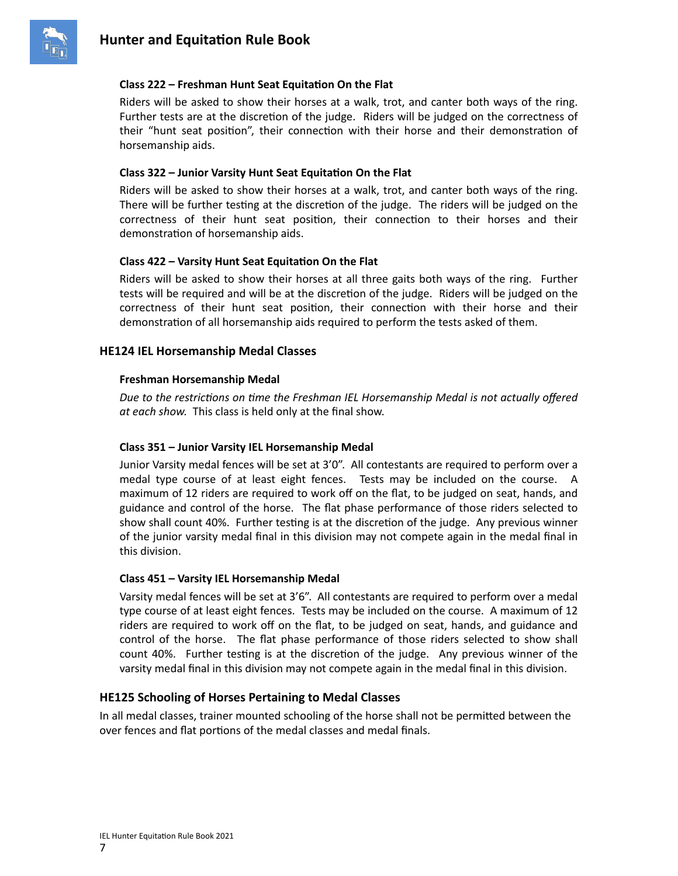

### **Class 222 – Freshman Hunt Seat Equitation On the Flat**

Riders will be asked to show their horses at a walk, trot, and canter both ways of the ring. Further tests are at the discretion of the judge. Riders will be judged on the correctness of their "hunt seat position", their connection with their horse and their demonstration of horsemanship aids.

#### **Class 322 – Junior Varsity Hunt Seat Equitation On the Flat**

Riders will be asked to show their horses at a walk, trot, and canter both ways of the ring. There will be further testing at the discretion of the judge. The riders will be judged on the correctness of their hunt seat position, their connection to their horses and their demonstration of horsemanship aids.

#### **Class 422 – Varsity Hunt Seat Equitation On the Flat**

Riders will be asked to show their horses at all three gaits both ways of the ring. Further tests will be required and will be at the discretion of the judge. Riders will be judged on the correctness of their hunt seat position, their connection with their horse and their demonstration of all horsemanship aids required to perform the tests asked of them.

### **HE124 IEL Horsemanship Medal Classes**

#### **Freshman Horsemanship Medal**

*Due to the restrictions on time the Freshman IEL Horsemanship Medal is not actually offered at each show.* This class is held only at the final show.

#### **Class 351 – Junior Varsity IEL Horsemanship Medal**

Junior Varsity medal fences will be set at 3'0". All contestants are required to perform over a medal type course of at least eight fences. Tests may be included on the course. A maximum of 12 riders are required to work off on the flat, to be judged on seat, hands, and guidance and control of the horse. The flat phase performance of those riders selected to show shall count 40%. Further testing is at the discretion of the judge. Any previous winner of the junior varsity medal final in this division may not compete again in the medal final in this division.

#### **Class 451 – Varsity IEL Horsemanship Medal**

Varsity medal fences will be set at 3'6". All contestants are required to perform over a medal type course of at least eight fences. Tests may be included on the course. A maximum of 12 riders are required to work off on the flat, to be judged on seat, hands, and guidance and control of the horse. The flat phase performance of those riders selected to show shall count 40%. Further testing is at the discretion of the judge. Any previous winner of the varsity medal final in this division may not compete again in the medal final in this division.

### **HE125 Schooling of Horses Pertaining to Medal Classes**

In all medal classes, trainer mounted schooling of the horse shall not be permitted between the over fences and flat portions of the medal classes and medal finals.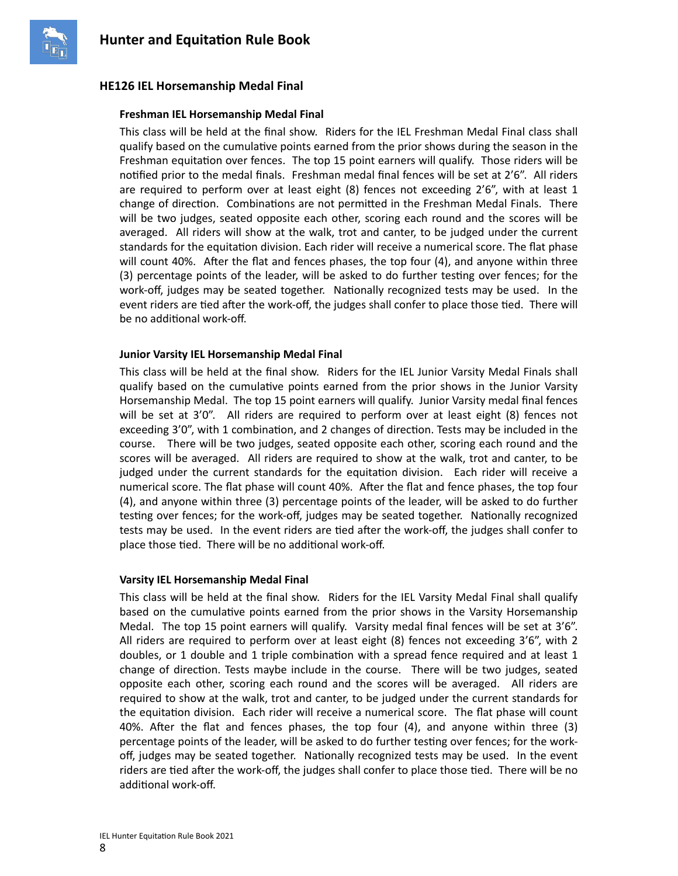

## **HE126 IEL Horsemanship Medal Final**

### **Freshman IEL Horsemanship Medal Final**

This class will be held at the final show. Riders for the IEL Freshman Medal Final class shall qualify based on the cumulative points earned from the prior shows during the season in the Freshman equitation over fences. The top 15 point earners will qualify. Those riders will be notified prior to the medal finals. Freshman medal final fences will be set at 2'6". All riders are required to perform over at least eight (8) fences not exceeding 2'6", with at least 1 change of direction. Combinations are not permitted in the Freshman Medal Finals. There will be two judges, seated opposite each other, scoring each round and the scores will be averaged. All riders will show at the walk, trot and canter, to be judged under the current standards for the equitation division. Each rider will receive a numerical score. The flat phase will count 40%. After the flat and fences phases, the top four (4), and anyone within three (3) percentage points of the leader, will be asked to do further testing over fences; for the work-off, judges may be seated together. Nationally recognized tests may be used. In the event riders are tied after the work-off, the judges shall confer to place those tied. There will be no additional work-off.

### **Junior Varsity IEL Horsemanship Medal Final**

This class will be held at the final show. Riders for the IEL Junior Varsity Medal Finals shall qualify based on the cumulative points earned from the prior shows in the Junior Varsity Horsemanship Medal. The top 15 point earners will qualify. Junior Varsity medal final fences will be set at 3'0". All riders are required to perform over at least eight (8) fences not exceeding 3'0", with 1 combination, and 2 changes of direction. Tests may be included in the course. There will be two judges, seated opposite each other, scoring each round and the scores will be averaged. All riders are required to show at the walk, trot and canter, to be judged under the current standards for the equitation division. Each rider will receive a numerical score. The flat phase will count 40%. After the flat and fence phases, the top four (4), and anyone within three (3) percentage points of the leader, will be asked to do further testing over fences; for the work-off, judges may be seated together. Nationally recognized tests may be used. In the event riders are tied after the work-off, the judges shall confer to place those tied. There will be no additional work-off.

### **Varsity IEL Horsemanship Medal Final**

This class will be held at the final show. Riders for the IEL Varsity Medal Final shall qualify based on the cumulative points earned from the prior shows in the Varsity Horsemanship Medal. The top 15 point earners will qualify. Varsity medal final fences will be set at 3'6". All riders are required to perform over at least eight (8) fences not exceeding 3'6", with 2 doubles, or 1 double and 1 triple combination with a spread fence required and at least 1 change of direction. Tests maybe include in the course. There will be two judges, seated opposite each other, scoring each round and the scores will be averaged. All riders are required to show at the walk, trot and canter, to be judged under the current standards for the equitation division. Each rider will receive a numerical score. The flat phase will count 40%. After the flat and fences phases, the top four (4), and anyone within three (3) percentage points of the leader, will be asked to do further testing over fences; for the workoff, judges may be seated together. Nationally recognized tests may be used. In the event riders are tied after the work-off, the judges shall confer to place those tied. There will be no additional work-off.